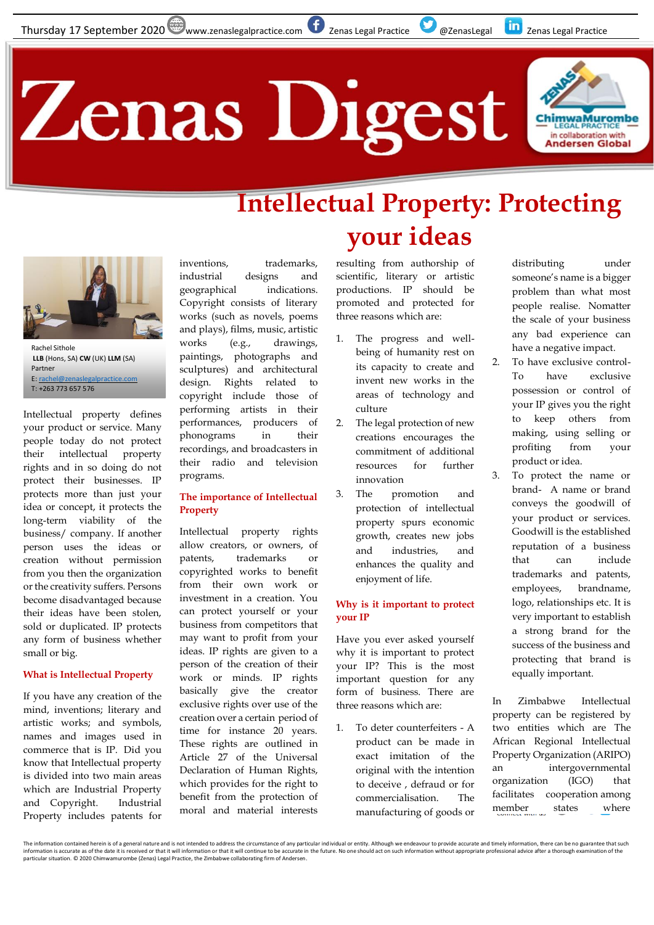## **Zenas Digest**



### **Intellectual Property: Protecting your ideas**



**LLB** (Hons, SA) **CW** (UK) **LLM** (SA) Partner E[: rachel@zenaslegalpractice.com](mailto:rachel@zenaslegalpractice.com) T: +263 773 657 576

Intellectual property defines your product or service. Many people today do not protect their intellectual property rights and in so doing do not protect their businesses. IP protects more than just your idea or concept, it protects the long-term viability of the business/ company. If another person uses the ideas or creation without permission from you then the organization or the creativity suffers. Persons become disadvantaged because their ideas have been stolen, sold or duplicated. IP protects any form of business whether small or big.

#### **What is Intellectual Property**

If you have any creation of the mind, inventions; literary and artistic works; and symbols, names and images used in commerce that is IP. Did you know that Intellectual property is divided into two main areas which are Industrial Property and Copyright. Industrial Property includes patents for

inventions, trademarks, industrial designs and geographical indications. Copyright consists of literary works (such as novels, poems and plays), films, music, artistic works (e.g., drawings, paintings, photographs and sculptures) and architectural design. Rights related to copyright include those of performing artists in their performances, producers of phonograms in their recordings, and broadcasters in their radio and television programs.

#### **The importance of Intellectual Property**

Intellectual property rights allow creators, or owners, of patents, trademarks or copyrighted works to benefit from their own work or investment in a creation. You can protect yourself or your business from competitors that may want to profit from your ideas. IP rights are given to a person of the creation of their work or minds. IP rights basically give the creator exclusive rights over use of the creation over a certain period of time for instance 20 years. These rights are outlined in Article 27 of the Universal Declaration of Human Rights, which provides for the right to benefit from the protection of moral and material interests

resulting from authorship of scientific, literary or artistic productions. IP should be promoted and protected for three reasons which are:

- The progress and wellbeing of humanity rest on its capacity to create and invent new works in the areas of technology and culture
- 2. The legal protection of new creations encourages the commitment of additional resources for further innovation
- 3. The promotion and protection of intellectual property spurs economic growth, creates new jobs and industries, and enhances the quality and enjoyment of life.

#### **Why is it important to protect your IP**

Have you ever asked yourself why it is important to protect your IP? This is the most important question for any form of business. There are three reasons which are:

1. To deter counterfeiters - A product can be made in exact imitation of the original with the intention to deceive , defraud or for commercialisation. The manufacturing of goods or distributing under someone's name is a bigger problem than what most people realise. Nomatter the scale of your business any bad experience can have a negative impact.

- 2. To have exclusive control-To have exclusive possession or control of your IP gives you the right to keep others from making, using selling or profiting from your product or idea.
- 3. To protect the name or brand- A name or brand conveys the goodwill of your product or services. Goodwill is the established reputation of a business that can include trademarks and patents, employees, brandname, logo, relationships etc. It is very important to establish a strong brand for the success of the business and protecting that brand is equally important.

In Zimbabwe Intellectual property can be registered by two entities which are The African Regional Intellectual Property Organization (ARIPO) an intergovernmental organization (IGO) that facilitates cooperation among member states where

The information contained herein is of a general nature and is not intended to address the circumstance of any particular individual or entity. Although we endeavour to provide accurate and timely information, there can be particular situation. © 2020 Chimwamurombe (Zenas) Legal Practice, the Zimbabwe collaborating firm of Andersen.